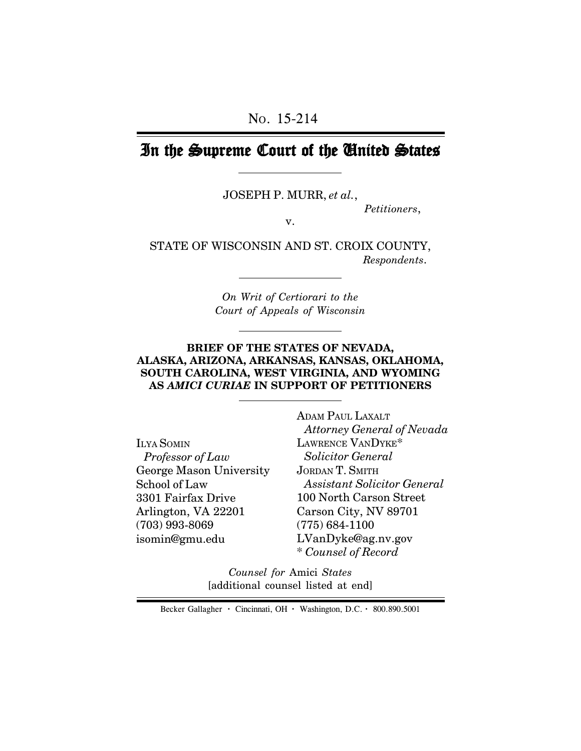# In the Supreme Court of the United States

JOSEPH P. MURR, *et al.*,

*Petitioners*,

v.

STATE OF WISCONSIN AND ST. CROIX COUNTY,  *Respondents*.

> *On Writ of Certiorari to the Court of Appeals of Wisconsin*

#### **BRIEF OF THE STATES OF NEVADA, ALASKA, ARIZONA, ARKANSAS, KANSAS, OKLAHOMA, SOUTH CAROLINA, WEST VIRGINIA, AND WYOMING AS** *AMICI CURIAE* **IN SUPPORT OF PETITIONERS**

ILYA SOMIN  *Professor of Law* George Mason University School of Law 3301 Fairfax Drive Arlington, VA 22201 (703) 993-8069 isomin@gmu.edu

ADAM PAUL LAXALT  *Attorney General of Nevada* LAWRENCE VANDYKE\*  *Solicitor General* JORDAN T. SMITH  *Assistant Solicitor General* 100 North Carson Street Carson City, NV 89701 (775) 684-1100 LVanDyke@ag.nv.gov \* *Counsel of Record*

*Counsel for* Amici *States* [additional counsel listed at end]

Becker Gallagher **·** Cincinnati, OH **·** Washington, D.C. **·** 800.890.5001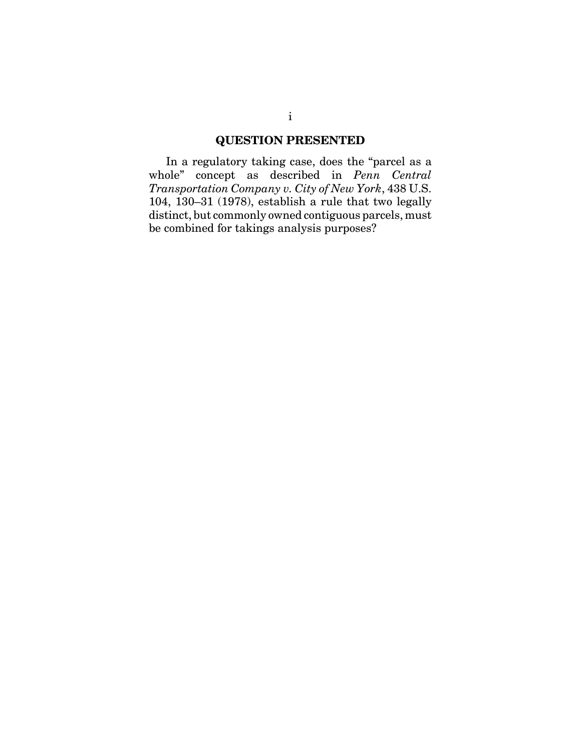# **QUESTION PRESENTED**

In a regulatory taking case, does the "parcel as a whole" concept as described in *Penn Central Transportation Company v. City of New York*, 438 U.S. 104, 130–31 (1978), establish a rule that two legally distinct, but commonly owned contiguous parcels, must be combined for takings analysis purposes?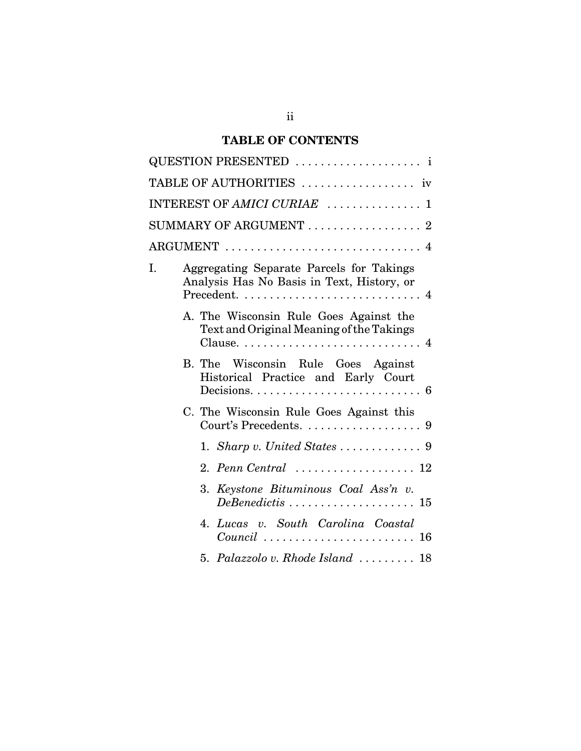# **TABLE OF CONTENTS**

|    | QUESTION PRESENTED  i                                                                                                                                |
|----|------------------------------------------------------------------------------------------------------------------------------------------------------|
|    | TABLE OF AUTHORITIES  iv                                                                                                                             |
|    | INTEREST OF AMICI CURIAE  1                                                                                                                          |
|    | SUMMARY OF ARGUMENT $\ldots \ldots \ldots \ldots \ldots 2$                                                                                           |
|    |                                                                                                                                                      |
| I. | Aggregating Separate Parcels for Takings<br>Analysis Has No Basis in Text, History, or                                                               |
|    | A. The Wisconsin Rule Goes Against the<br>Text and Original Meaning of the Takings                                                                   |
|    | B. The Wisconsin Rule Goes Against<br>Historical Practice and Early Court<br>Decisions. $\dots \dots \dots \dots \dots \dots \dots \dots \dots$<br>6 |
|    | C. The Wisconsin Rule Goes Against this<br>Court's Precedents.<br>9                                                                                  |
|    |                                                                                                                                                      |
|    | 2. Penn Central $\ldots \ldots \ldots \ldots \ldots 12$                                                                                              |
|    | 3. Keystone Bituminous Coal Ass'n v.                                                                                                                 |
|    | Lucas v. South Carolina Coastal<br>4.                                                                                                                |
|    | 5. Palazzolo v. Rhode Island $\ldots \ldots \ldots$ 18                                                                                               |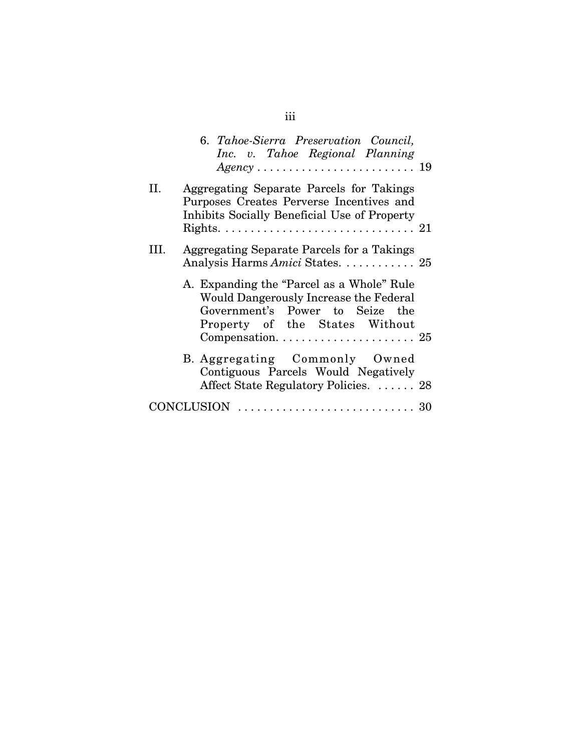|      | 6. Tahoe-Sierra Preservation Council,<br>Inc. v. Tahoe Regional Planning                                                                                 |  |
|------|----------------------------------------------------------------------------------------------------------------------------------------------------------|--|
| II.  | Aggregating Separate Parcels for Takings<br>Purposes Creates Perverse Incentives and<br>Inhibits Socially Beneficial Use of Property                     |  |
| III. | Aggregating Separate Parcels for a Takings<br>Analysis Harms Amici States.  25                                                                           |  |
|      | A. Expanding the "Parcel as a Whole" Rule<br>Would Dangerously Increase the Federal<br>Government's Power to Seize the<br>Property of the States Without |  |
|      | B. Aggregating Commonly Owned<br>Contiguous Parcels Would Negatively<br>Affect State Regulatory Policies.  28                                            |  |
|      | CONCLUSION                                                                                                                                               |  |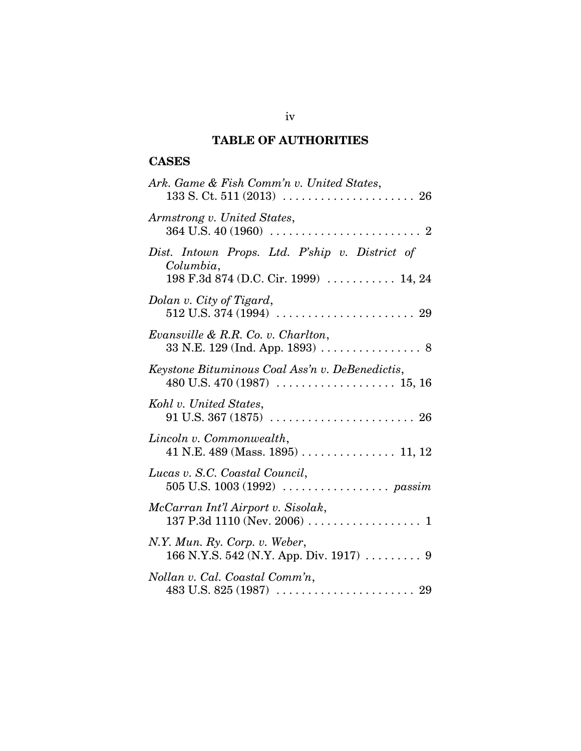# **TABLE OF AUTHORITIES**

# **CASES**

| Ark. Game & Fish Comm'n v. United States,                                                                          |
|--------------------------------------------------------------------------------------------------------------------|
| Armstrong v. United States,                                                                                        |
| Dist. Intown Props. Ltd. P'ship v. District of<br>Columbia,<br>198 F.3d 874 (D.C. Cir. 1999)  14, 24               |
| Dolan v. City of Tigard,                                                                                           |
| Evansville & R.R. Co. v. Charlton,                                                                                 |
| Keystone Bituminous Coal Ass'n v. DeBenedictis,                                                                    |
| Kohl v. United States,                                                                                             |
| Lincoln v. Commonwealth,<br>41 N.E. 489 (Mass. 1895) 11, 12                                                        |
| Lucas v. S.C. Coastal Council,                                                                                     |
| McCarran Int'l Airport v. Sisolak,                                                                                 |
| N.Y. Mun. Ry. Corp. v. Weber,<br>166 N.Y.S. 542 (N.Y. App. Div. 1917)  9                                           |
| Nollan v. Cal. Coastal Comm'n,<br>483 U.S. 825 (1987) $\ldots \ldots \ldots \ldots \ldots \ldots \ldots \ldots$ 29 |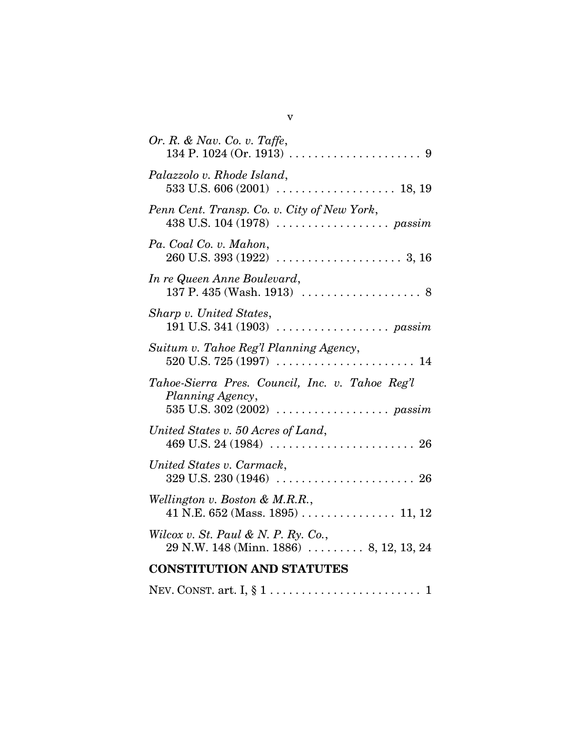| Or. R. & Nav. Co. v. Taffe,                                                                          |
|------------------------------------------------------------------------------------------------------|
| Palazzolo v. Rhode Island,                                                                           |
| Penn Cent. Transp. Co. v. City of New York,                                                          |
| Pa. Coal Co. v. Mahon,                                                                               |
| In re Queen Anne Boulevard,<br>137 P. 435 (Wash. 1913) $\ldots \ldots \ldots \ldots \ldots \ldots$ 8 |
| Sharp v. United States,                                                                              |
| Suitum v. Tahoe Reg'l Planning Agency,<br>$520$ U.S. $725(1997)$<br>. 14                             |
| Tahoe-Sierra Pres. Council, Inc. v. Tahoe Reg'l<br>Planning Agency,                                  |
| United States v. 50 Acres of Land,                                                                   |
| United States v. Carmack,                                                                            |
| Wellington v. Boston & M.R.R.,                                                                       |
| Wilcox v. St. Paul & N. P. Ry. Co.,<br>$29$ N.W. 148 (Minn. 1886)  8, 12, 13, 24                     |
| <b>CONSTITUTION AND STATUTES</b>                                                                     |
|                                                                                                      |

v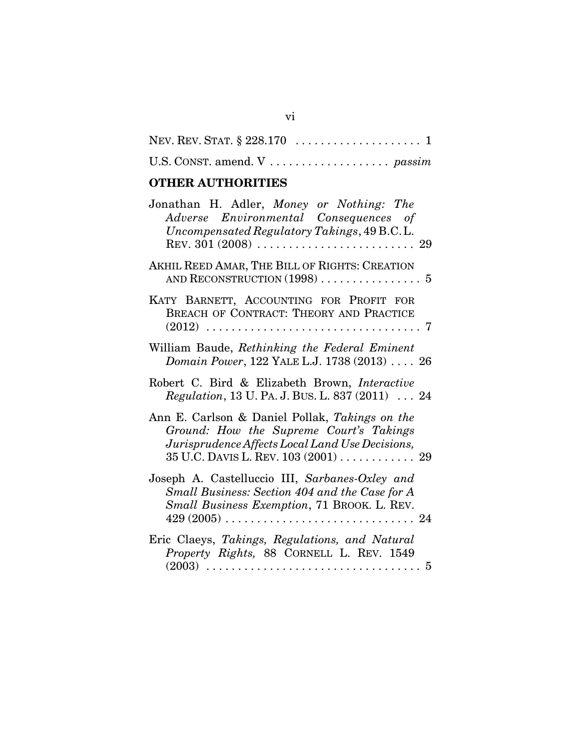# **OTHER AUTHORITIES**

| Jonathan H. Adler, Money or Nothing: The<br>Adverse Environmental Consequences of<br>Uncompensated Regulatory Takings, 49 B.C.L.                                                    |
|-------------------------------------------------------------------------------------------------------------------------------------------------------------------------------------|
| AKHIL REED AMAR, THE BILL OF RIGHTS: CREATION                                                                                                                                       |
| KATY BARNETT, ACCOUNTING FOR PROFIT FOR<br>BREACH OF CONTRACT: THEORY AND PRACTICE                                                                                                  |
| William Baude, Rethinking the Federal Eminent<br>Domain Power, 122 YALE L.J. 1738 (2013)  26                                                                                        |
| Robert C. Bird & Elizabeth Brown, Interactive<br>Regulation, 13 U. PA. J. BUS. L. 837 (2011)  24                                                                                    |
| Ann E. Carlson & Daniel Pollak, Takings on the<br>Ground: How the Supreme Court's Takings<br>Jurisprudence Affects Local Land Use Decisions,<br>35 U.C. DAVIS L. REV. 103 (2001) 29 |
| Joseph A. Castelluccio III, Sarbanes-Oxley and<br>Small Business: Section 404 and the Case for A<br>Small Business Exemption, 71 BROOK. L. REV.                                     |
| Eric Claeys, Takings, Regulations, and Natural<br>Property Rights, 88 CORNELL L. REV. 1549                                                                                          |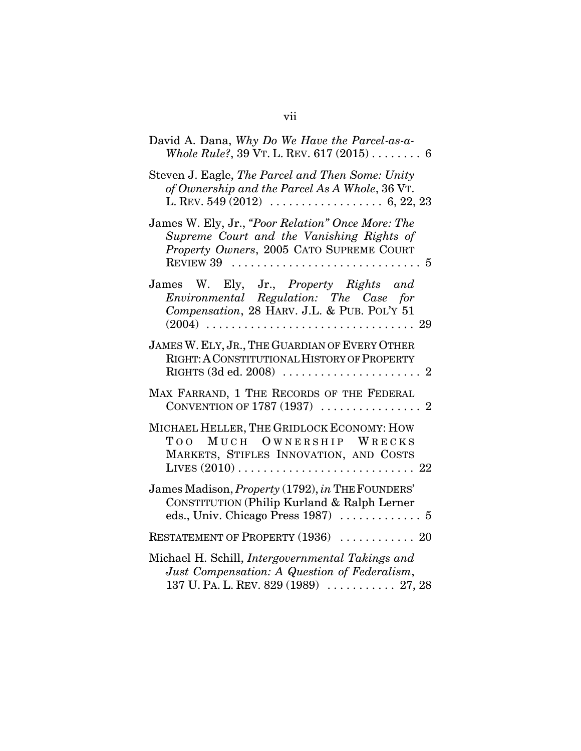| David A. Dana, Why Do We Have the Parcel-as-a-<br>Whole Rule?, 39 VT. L. REV. $617(2015)$ 6                                                                                  |
|------------------------------------------------------------------------------------------------------------------------------------------------------------------------------|
| Steven J. Eagle, The Parcel and Then Some: Unity<br>of Ownership and the Parcel As A Whole, 36 VT.                                                                           |
| James W. Ely, Jr., "Poor Relation" Once More: The<br>Supreme Court and the Vanishing Rights of<br>Property Owners, 2005 CATO SUPREME COURT                                   |
| James W. Ely, Jr., Property Rights and<br>Environmental Regulation: The Case for<br>Compensation, 28 HARV. J.L. & PUB. POL'Y 51                                              |
| JAMES W. ELY, JR., THE GUARDIAN OF EVERY OTHER<br>RIGHT: A CONSTITUTIONAL HISTORY OF PROPERTY<br>RIGHTS $(3d$ ed. 2008) $\ldots \ldots \ldots \ldots \ldots \ldots \ldots 2$ |
| MAX FARRAND, 1 THE RECORDS OF THE FEDERAL                                                                                                                                    |
| MICHAEL HELLER, THE GRIDLOCK ECONOMY: HOW<br>TOO<br>MUCH OWNERSHIP WRECKS<br>MARKETS, STIFLES INNOVATION, AND COSTS                                                          |
| James Madison, Property (1792), in THE FOUNDERS'<br>CONSTITUTION (Philip Kurland & Ralph Lerner                                                                              |
| RESTATEMENT OF PROPERTY (1936)  20                                                                                                                                           |
| Michael H. Schill, Intergovernmental Takings and<br>Just Compensation: A Question of Federalism,<br>137 U. PA. L. REV. 829 (1989)  27, 28                                    |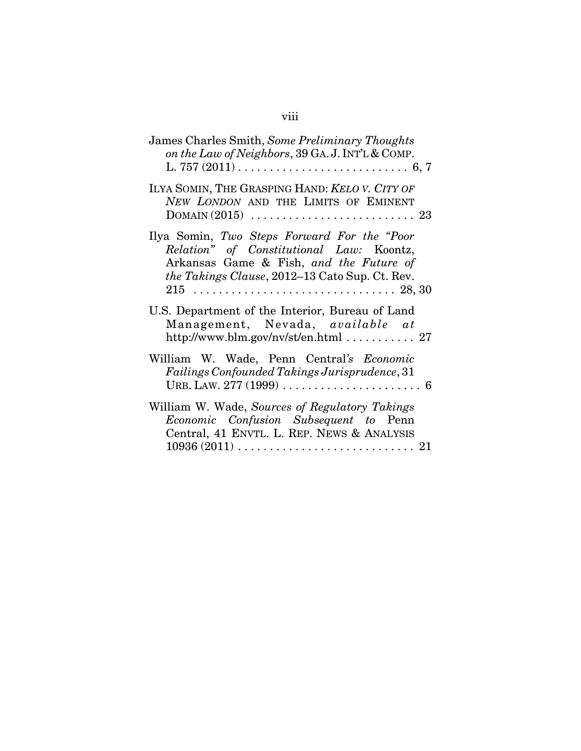| James Charles Smith, Some Preliminary Thoughts<br>on the Law of Neighbors, 39 GA. J. INT'L & COMP.                                                                                           |
|----------------------------------------------------------------------------------------------------------------------------------------------------------------------------------------------|
| ILYA SOMIN, THE GRASPING HAND: KELO V. CITY OF<br>NEW LONDON AND THE LIMITS OF EMINENT                                                                                                       |
| Ilya Somin, Two Steps Forward For the "Poor"<br>Relation" of Constitutional Law: Koontz,<br>Arkansas Game & Fish, and the Future of<br><i>the Takings Clause, 2012–13 Cato Sup. Ct. Rev.</i> |
| U.S. Department of the Interior, Bureau of Land<br>Management, Nevada, available at<br>http://www.blm.gov/nv/st/en.html $\ldots \ldots \ldots 27$                                            |
| William W. Wade, Penn Central's Economic<br><b>Failings Confounded Takings Jurisprudence, 31</b>                                                                                             |
| William W. Wade, Sources of Regulatory Takings<br>Economic Confusion Subsequent to Penn<br>Central, 41 ENVTL. L. REP. NEWS & ANALYSIS                                                        |

# viii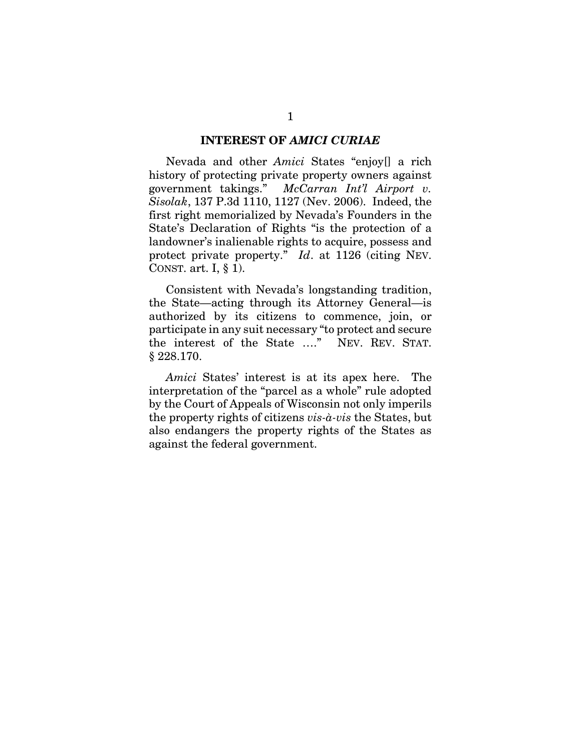#### **INTEREST OF** *AMICI CURIAE*

Nevada and other *Amici* States "enjoy[] a rich history of protecting private property owners against government takings." *McCarran Int'l Airport v. Sisolak*, 137 P.3d 1110, 1127 (Nev. 2006). Indeed, the first right memorialized by Nevada's Founders in the State's Declaration of Rights "is the protection of a landowner's inalienable rights to acquire, possess and protect private property." *Id*. at 1126 (citing NEV. CONST. art. I, § 1).

Consistent with Nevada's longstanding tradition, the State—acting through its Attorney General—is authorized by its citizens to commence, join, or participate in any suit necessary "to protect and secure the interest of the State …." NEV. REV. STAT. § 228.170.

*Amici* States' interest is at its apex here. The interpretation of the "parcel as a whole" rule adopted by the Court of Appeals of Wisconsin not only imperils the property rights of citizens *vis-à-vis* the States, but also endangers the property rights of the States as against the federal government.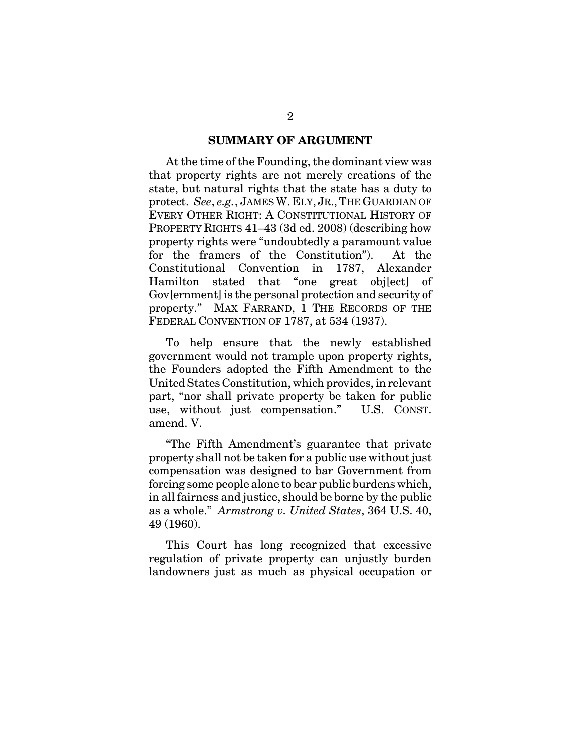#### **SUMMARY OF ARGUMENT**

At the time of the Founding, the dominant view was that property rights are not merely creations of the state, but natural rights that the state has a duty to protect. *See*, *e.g.*, JAMES W. ELY, JR.,THE GUARDIAN OF EVERY OTHER RIGHT: A CONSTITUTIONAL HISTORY OF PROPERTY RIGHTS 41–43 (3d ed. 2008) (describing how property rights were "undoubtedly a paramount value for the framers of the Constitution"). At the Constitutional Convention in 1787, Alexander Hamilton stated that "one great obj[ect] of Gov[ernment] is the personal protection and security of property." MAX FARRAND, 1 THE RECORDS OF THE FEDERAL CONVENTION OF 1787, at 534 (1937).

To help ensure that the newly established government would not trample upon property rights, the Founders adopted the Fifth Amendment to the United States Constitution, which provides, in relevant part, "nor shall private property be taken for public use, without just compensation." U.S. CONST. amend. V.

"The Fifth Amendment's guarantee that private property shall not be taken for a public use without just compensation was designed to bar Government from forcing some people alone to bear public burdens which, in all fairness and justice, should be borne by the public as a whole." *Armstrong v. United States*, 364 U.S. 40, 49 (1960).

This Court has long recognized that excessive regulation of private property can unjustly burden landowners just as much as physical occupation or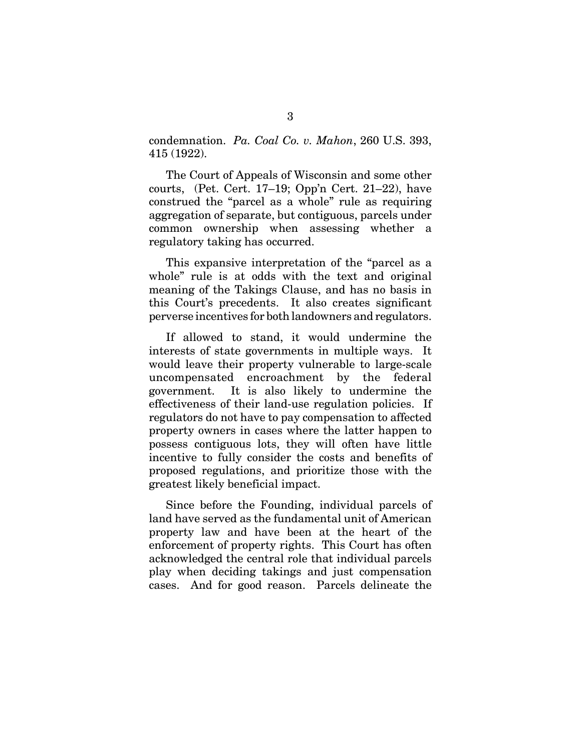condemnation. *Pa. Coal Co. v. Mahon*, 260 U.S. 393, 415 (1922).

The Court of Appeals of Wisconsin and some other courts, (Pet. Cert. 17–19; Opp'n Cert. 21–22), have construed the "parcel as a whole" rule as requiring aggregation of separate, but contiguous, parcels under common ownership when assessing whether a regulatory taking has occurred.

This expansive interpretation of the "parcel as a whole" rule is at odds with the text and original meaning of the Takings Clause, and has no basis in this Court's precedents. It also creates significant perverse incentives for both landowners and regulators.

If allowed to stand, it would undermine the interests of state governments in multiple ways. It would leave their property vulnerable to large-scale uncompensated encroachment by the federal government. It is also likely to undermine the effectiveness of their land-use regulation policies. If regulators do not have to pay compensation to affected property owners in cases where the latter happen to possess contiguous lots, they will often have little incentive to fully consider the costs and benefits of proposed regulations, and prioritize those with the greatest likely beneficial impact.

Since before the Founding, individual parcels of land have served as the fundamental unit of American property law and have been at the heart of the enforcement of property rights. This Court has often acknowledged the central role that individual parcels play when deciding takings and just compensation cases. And for good reason. Parcels delineate the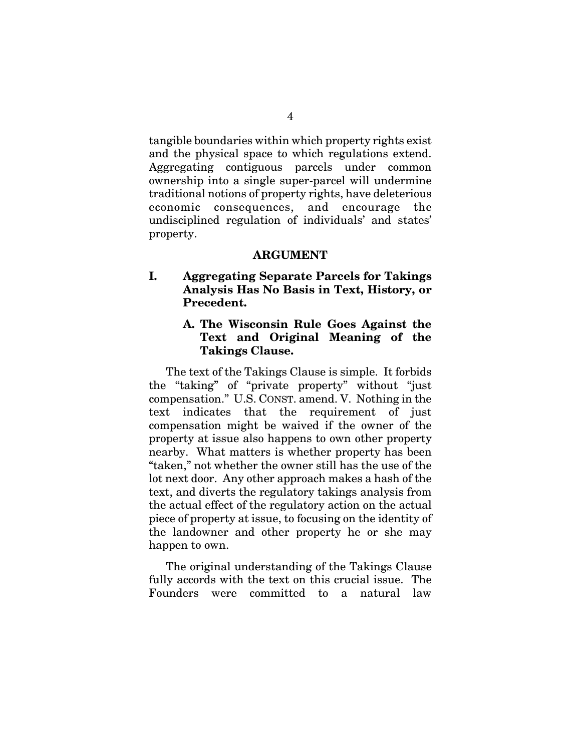tangible boundaries within which property rights exist and the physical space to which regulations extend. Aggregating contiguous parcels under common ownership into a single super-parcel will undermine traditional notions of property rights, have deleterious economic consequences, and encourage the undisciplined regulation of individuals' and states' property.

#### **ARGUMENT**

**I. Aggregating Separate Parcels for Takings Analysis Has No Basis in Text, History, or Precedent.**

# **A. The Wisconsin Rule Goes Against the Text and Original Meaning of the Takings Clause.**

The text of the Takings Clause is simple. It forbids the "taking" of "private property" without "just compensation." U.S. CONST. amend. V. Nothing in the text indicates that the requirement of just compensation might be waived if the owner of the property at issue also happens to own other property nearby. What matters is whether property has been "taken," not whether the owner still has the use of the lot next door. Any other approach makes a hash of the text, and diverts the regulatory takings analysis from the actual effect of the regulatory action on the actual piece of property at issue, to focusing on the identity of the landowner and other property he or she may happen to own.

The original understanding of the Takings Clause fully accords with the text on this crucial issue. The Founders were committed to a natural law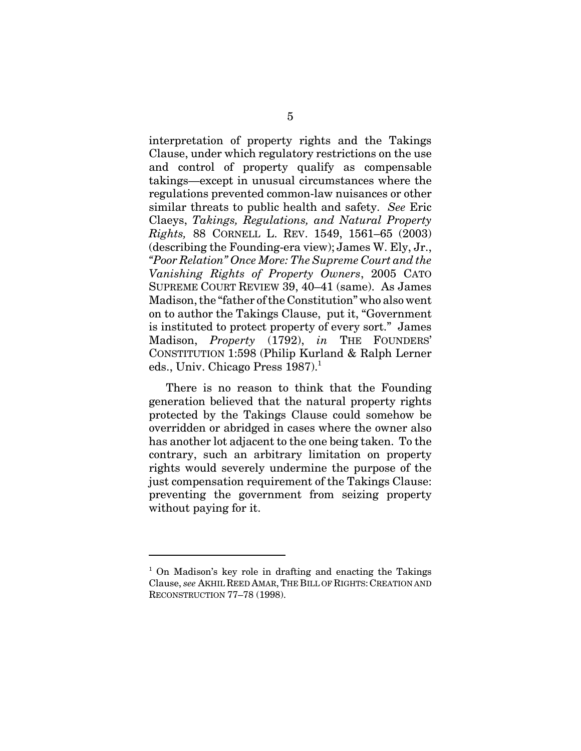interpretation of property rights and the Takings Clause, under which regulatory restrictions on the use and control of property qualify as compensable takings—except in unusual circumstances where the regulations prevented common-law nuisances or other similar threats to public health and safety. *See* Eric Claeys, *Takings, Regulations, and Natural Property Rights,* 88 CORNELL L. REV. 1549, 1561–65 (2003) (describing the Founding-era view); James W. Ely, Jr., *"Poor Relation" Once More: The Supreme Court and the Vanishing Rights of Property Owners*, 2005 CATO SUPREME COURT REVIEW 39, 40–41 (same). As James Madison, the "father of the Constitution" who also went on to author the Takings Clause, put it, "Government is instituted to protect property of every sort." James Madison, *Property* (1792), *in* THE FOUNDERS' CONSTITUTION 1:598 (Philip Kurland & Ralph Lerner eds., Univ. Chicago Press  $1987$ <sup>1</sup>

There is no reason to think that the Founding generation believed that the natural property rights protected by the Takings Clause could somehow be overridden or abridged in cases where the owner also has another lot adjacent to the one being taken. To the contrary, such an arbitrary limitation on property rights would severely undermine the purpose of the just compensation requirement of the Takings Clause: preventing the government from seizing property without paying for it.

<sup>&</sup>lt;sup>1</sup> On Madison's key role in drafting and enacting the Takings Clause, *see* AKHIL REED AMAR,THE BILL OF RIGHTS: CREATION AND RECONSTRUCTION 77–78 (1998).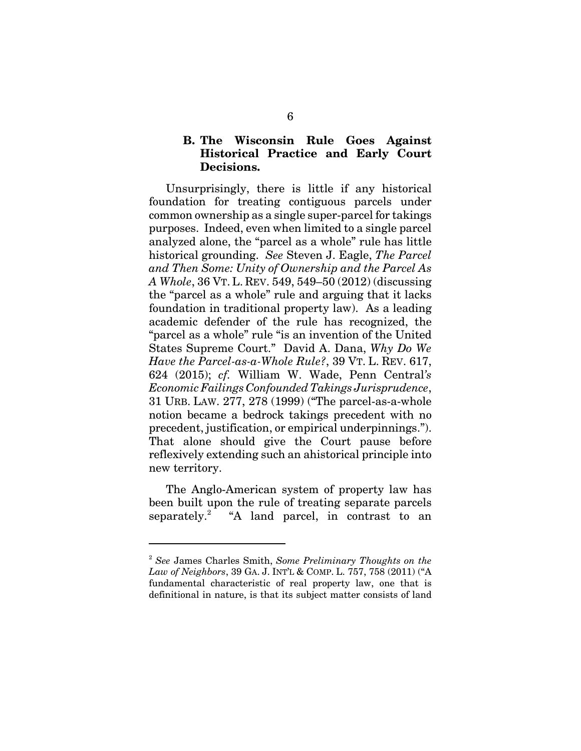## **B. The Wisconsin Rule Goes Against Historical Practice and Early Court Decisions.**

Unsurprisingly, there is little if any historical foundation for treating contiguous parcels under common ownership as a single super-parcel for takings purposes. Indeed, even when limited to a single parcel analyzed alone, the "parcel as a whole" rule has little historical grounding. *See* Steven J. Eagle, *The Parcel and Then Some: Unity of Ownership and the Parcel As A Whole*, 36 VT. L. REV. 549, 549–50 (2012) (discussing the "parcel as a whole" rule and arguing that it lacks foundation in traditional property law). As a leading academic defender of the rule has recognized, the "parcel as a whole" rule "is an invention of the United States Supreme Court." David A. Dana, *Why Do We Have the Parcel-as-a-Whole Rule?*, 39 VT. L. REV. 617, 624 (2015); *cf.* William W. Wade, Penn Central*'s Economic Failings Confounded Takings Jurisprudence*, 31 URB. LAW. 277, 278 (1999) ("The parcel-as-a-whole notion became a bedrock takings precedent with no precedent, justification, or empirical underpinnings."). That alone should give the Court pause before reflexively extending such an ahistorical principle into new territory.

The Anglo-American system of property law has been built upon the rule of treating separate parcels separately.<sup>2</sup> "A land parcel, in contrast to an

<sup>2</sup> *See* James Charles Smith, *Some Preliminary Thoughts on the Law of Neighbors*, 39 GA. J. INT'L & COMP. L. 757, 758 (2011) ("A fundamental characteristic of real property law, one that is definitional in nature, is that its subject matter consists of land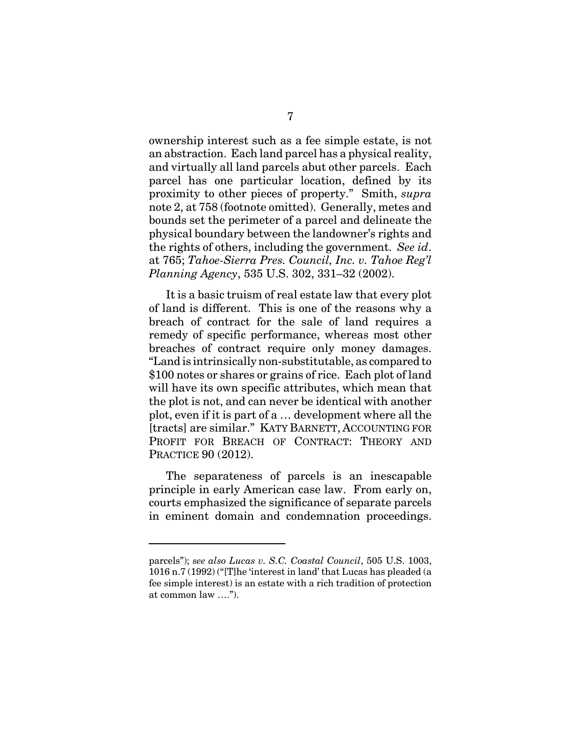ownership interest such as a fee simple estate, is not an abstraction. Each land parcel has a physical reality, and virtually all land parcels abut other parcels. Each parcel has one particular location, defined by its proximity to other pieces of property." Smith, *supra* note 2, at 758 (footnote omitted). Generally, metes and bounds set the perimeter of a parcel and delineate the physical boundary between the landowner's rights and the rights of others, including the government. *See id*. at 765; *Tahoe-Sierra Pres. Council, Inc. v. Tahoe Reg'l Planning Agency*, 535 U.S. 302, 331–32 (2002).

It is a basic truism of real estate law that every plot of land is different. This is one of the reasons why a breach of contract for the sale of land requires a remedy of specific performance, whereas most other breaches of contract require only money damages. "Land is intrinsically non-substitutable, as compared to \$100 notes or shares or grains of rice. Each plot of land will have its own specific attributes, which mean that the plot is not, and can never be identical with another plot, even if it is part of a … development where all the [tracts] are similar." KATY BARNETT, ACCOUNTING FOR PROFIT FOR BREACH OF CONTRACT: THEORY AND PRACTICE 90 (2012).

The separateness of parcels is an inescapable principle in early American case law. From early on, courts emphasized the significance of separate parcels in eminent domain and condemnation proceedings.

parcels"); *see also Lucas v. S.C. Coastal Council*, 505 U.S. 1003, 1016 n.7 (1992) ("[T]he 'interest in land' that Lucas has pleaded (a fee simple interest) is an estate with a rich tradition of protection at common law ….").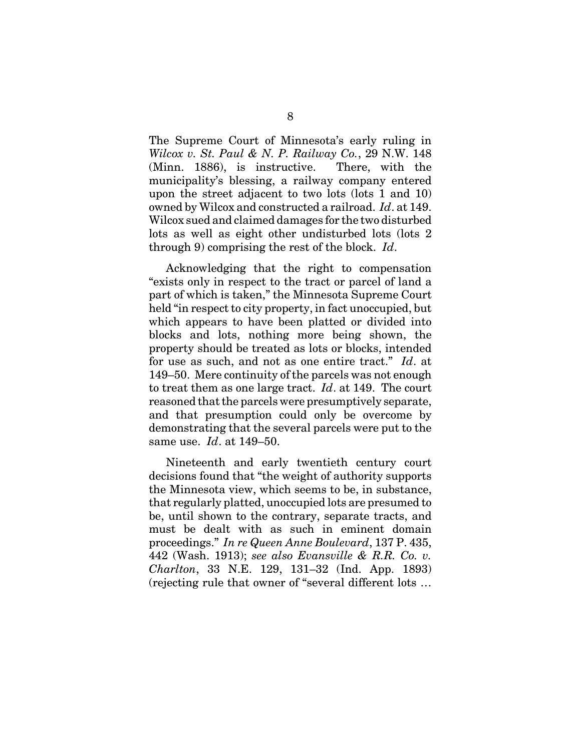The Supreme Court of Minnesota's early ruling in *Wilcox v. St. Paul & N. P. Railway Co.*, 29 N.W. 148 (Minn. 1886), is instructive. There, with the municipality's blessing, a railway company entered upon the street adjacent to two lots (lots 1 and 10) owned by Wilcox and constructed a railroad. *Id*. at 149. Wilcox sued and claimed damages for the two disturbed lots as well as eight other undisturbed lots (lots 2 through 9) comprising the rest of the block. *Id*.

Acknowledging that the right to compensation "exists only in respect to the tract or parcel of land a part of which is taken," the Minnesota Supreme Court held "in respect to city property, in fact unoccupied, but which appears to have been platted or divided into blocks and lots, nothing more being shown, the property should be treated as lots or blocks, intended for use as such, and not as one entire tract." *Id*. at 149–50. Mere continuity of the parcels was not enough to treat them as one large tract. *Id*. at 149. The court reasoned that the parcels were presumptively separate, and that presumption could only be overcome by demonstrating that the several parcels were put to the same use. *Id*. at 149–50.

Nineteenth and early twentieth century court decisions found that "the weight of authority supports the Minnesota view, which seems to be, in substance, that regularly platted, unoccupied lots are presumed to be, until shown to the contrary, separate tracts, and must be dealt with as such in eminent domain proceedings." *In re Queen Anne Boulevard*, 137 P. 435, 442 (Wash. 1913); *see also Evansville & R.R. Co. v. Charlton*, 33 N.E. 129, 131–32 (Ind. App. 1893) (rejecting rule that owner of "several different lots …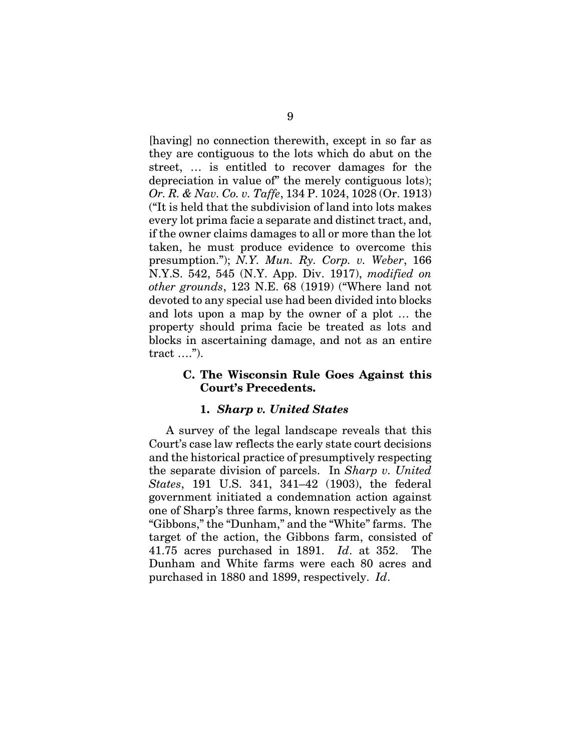[having] no connection therewith, except in so far as they are contiguous to the lots which do abut on the street, … is entitled to recover damages for the depreciation in value of" the merely contiguous lots); *Or. R. & Nav. Co. v. Taffe*, 134 P. 1024, 1028 (Or. 1913) ("It is held that the subdivision of land into lots makes every lot prima facie a separate and distinct tract, and, if the owner claims damages to all or more than the lot taken, he must produce evidence to overcome this presumption."); *N.Y. Mun. Ry. Corp. v. Weber*, 166 N.Y.S. 542, 545 (N.Y. App. Div. 1917), *modified on other grounds*, 123 N.E. 68 (1919) ("Where land not devoted to any special use had been divided into blocks and lots upon a map by the owner of a plot … the property should prima facie be treated as lots and blocks in ascertaining damage, and not as an entire tract ….").

#### **C. The Wisconsin Rule Goes Against this Court's Precedents.**

#### **1.** *Sharp v. United States*

A survey of the legal landscape reveals that this Court's case law reflects the early state court decisions and the historical practice of presumptively respecting the separate division of parcels. In *Sharp v. United States*, 191 U.S. 341, 341–42 (1903), the federal government initiated a condemnation action against one of Sharp's three farms, known respectively as the "Gibbons," the "Dunham," and the "White" farms. The target of the action, the Gibbons farm, consisted of 41.75 acres purchased in 1891. *Id*. at 352. The Dunham and White farms were each 80 acres and purchased in 1880 and 1899, respectively. *Id*.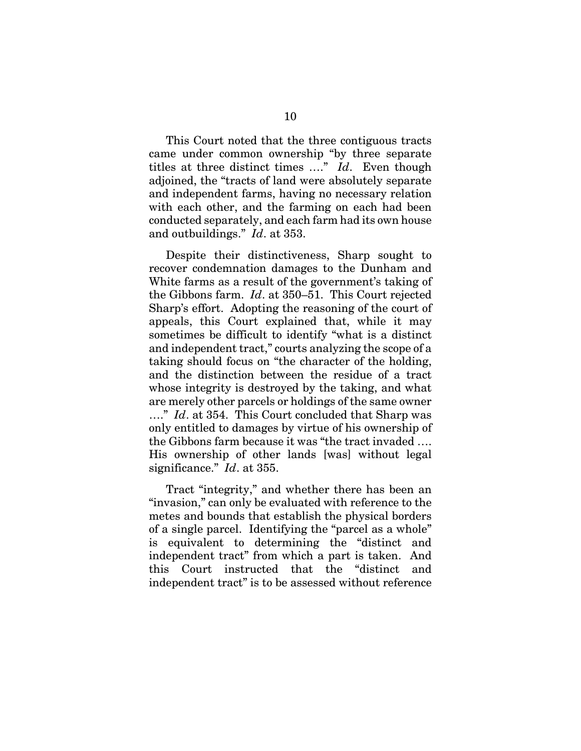This Court noted that the three contiguous tracts came under common ownership "by three separate titles at three distinct times …." *Id*. Even though adjoined, the "tracts of land were absolutely separate and independent farms, having no necessary relation with each other, and the farming on each had been conducted separately, and each farm had its own house and outbuildings." *Id*. at 353.

Despite their distinctiveness, Sharp sought to recover condemnation damages to the Dunham and White farms as a result of the government's taking of the Gibbons farm. *Id*. at 350–51. This Court rejected Sharp's effort. Adopting the reasoning of the court of appeals, this Court explained that, while it may sometimes be difficult to identify "what is a distinct and independent tract," courts analyzing the scope of a taking should focus on "the character of the holding, and the distinction between the residue of a tract whose integrity is destroyed by the taking, and what are merely other parcels or holdings of the same owner …." *Id*. at 354. This Court concluded that Sharp was only entitled to damages by virtue of his ownership of the Gibbons farm because it was "the tract invaded …. His ownership of other lands [was] without legal significance." *Id*. at 355.

Tract "integrity," and whether there has been an "invasion," can only be evaluated with reference to the metes and bounds that establish the physical borders of a single parcel. Identifying the "parcel as a whole" is equivalent to determining the "distinct and independent tract" from which a part is taken. And this Court instructed that the "distinct and independent tract" is to be assessed without reference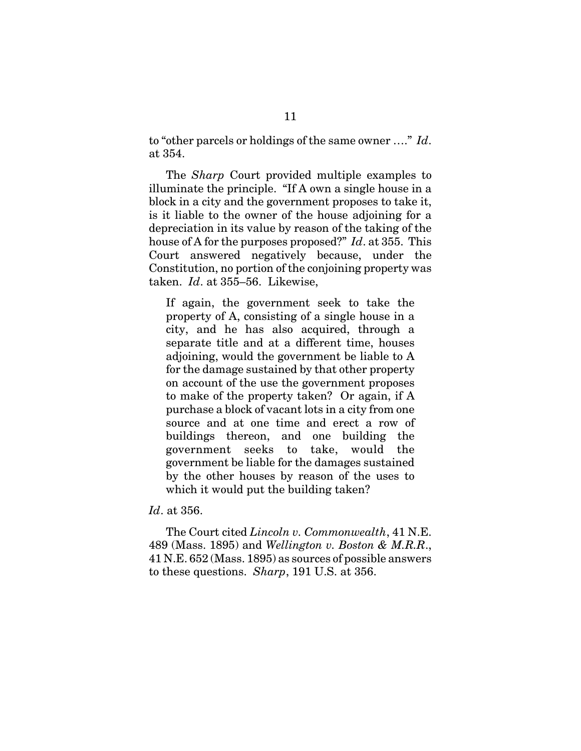to "other parcels or holdings of the same owner …." *Id*. at 354.

The *Sharp* Court provided multiple examples to illuminate the principle. "If A own a single house in a block in a city and the government proposes to take it, is it liable to the owner of the house adjoining for a depreciation in its value by reason of the taking of the house of A for the purposes proposed?" *Id*. at 355. This Court answered negatively because, under the Constitution, no portion of the conjoining property was taken. *Id*. at 355–56. Likewise,

If again, the government seek to take the property of A, consisting of a single house in a city, and he has also acquired, through a separate title and at a different time, houses adjoining, would the government be liable to A for the damage sustained by that other property on account of the use the government proposes to make of the property taken? Or again, if A purchase a block of vacant lots in a city from one source and at one time and erect a row of buildings thereon, and one building the government seeks to take, would the government be liable for the damages sustained by the other houses by reason of the uses to which it would put the building taken?

*Id*. at 356.

The Court cited *Lincoln v. Commonwealth*, 41 N.E. 489 (Mass. 1895) and *Wellington v. Boston & M.R.R*., 41 N.E. 652 (Mass. 1895) as sources of possible answers to these questions. *Sharp*, 191 U.S. at 356.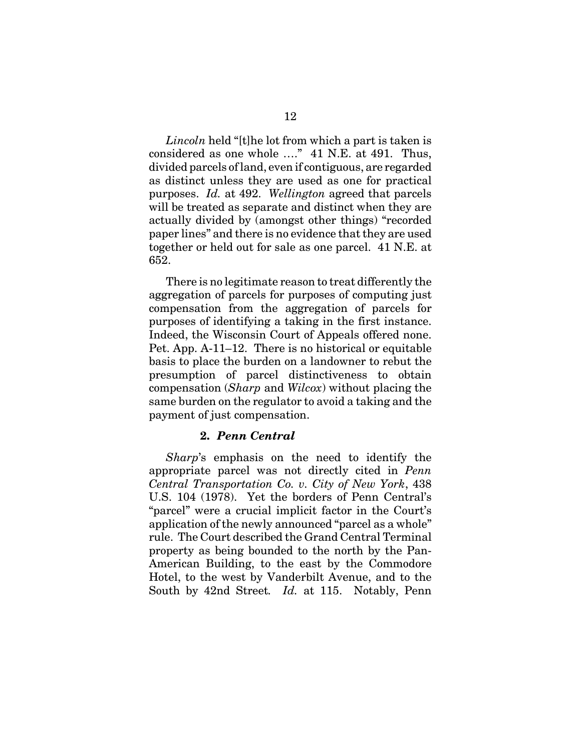*Lincoln* held "[t]he lot from which a part is taken is considered as one whole …." 41 N.E. at 491. Thus, divided parcels of land, even if contiguous, are regarded as distinct unless they are used as one for practical purposes. *Id.* at 492. *Wellington* agreed that parcels will be treated as separate and distinct when they are actually divided by (amongst other things) "recorded paper lines" and there is no evidence that they are used together or held out for sale as one parcel. 41 N.E. at 652.

There is no legitimate reason to treat differently the aggregation of parcels for purposes of computing just compensation from the aggregation of parcels for purposes of identifying a taking in the first instance. Indeed, the Wisconsin Court of Appeals offered none. Pet. App. A-11–12. There is no historical or equitable basis to place the burden on a landowner to rebut the presumption of parcel distinctiveness to obtain compensation (*Sharp* and *Wilcox*) without placing the same burden on the regulator to avoid a taking and the payment of just compensation.

#### **2.** *Penn Central*

*Sharp*'s emphasis on the need to identify the appropriate parcel was not directly cited in *Penn Central Transportation Co. v. City of New York*, 438 U.S. 104 (1978). Yet the borders of Penn Central's "parcel" were a crucial implicit factor in the Court's application of the newly announced "parcel as a whole" rule. The Court described the Grand Central Terminal property as being bounded to the north by the Pan-American Building, to the east by the Commodore Hotel, to the west by Vanderbilt Avenue, and to the South by 42nd Street*. Id.* at 115. Notably, Penn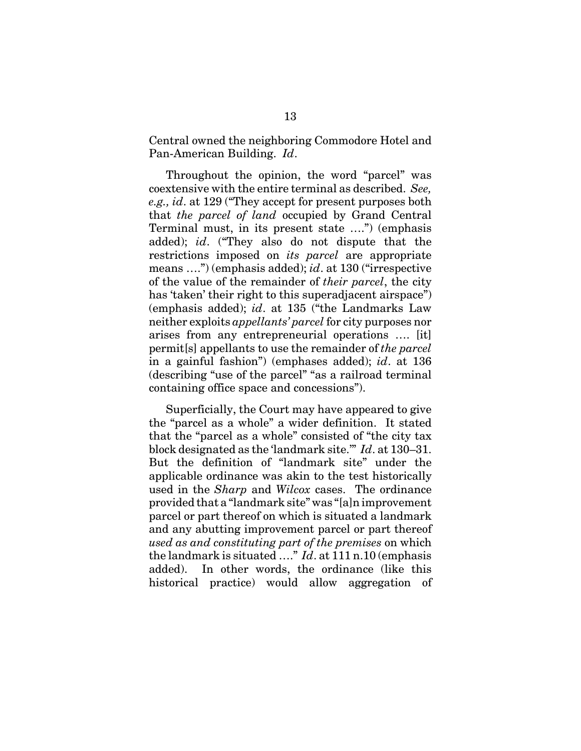Central owned the neighboring Commodore Hotel and Pan-American Building. *Id*.

Throughout the opinion, the word "parcel" was coextensive with the entire terminal as described. *See, e.g., id*. at 129 ("They accept for present purposes both that *the parcel of land* occupied by Grand Central Terminal must, in its present state ….") (emphasis added); *id*. ("They also do not dispute that the restrictions imposed on *its parcel* are appropriate means ….") (emphasis added); *id*. at 130 ("irrespective of the value of the remainder of *their parcel*, the city has 'taken' their right to this superadjacent airspace") (emphasis added); *id*. at 135 ("the Landmarks Law neither exploits *appellants' parcel* for city purposes nor arises from any entrepreneurial operations …. [it] permit[s] appellants to use the remainder of *the parcel* in a gainful fashion") (emphases added); *id*. at 136 (describing "use of the parcel" "as a railroad terminal containing office space and concessions").

Superficially, the Court may have appeared to give the "parcel as a whole" a wider definition. It stated that the "parcel as a whole" consisted of "the city tax block designated as the 'landmark site.'" *Id*. at 130–31. But the definition of "landmark site" under the applicable ordinance was akin to the test historically used in the *Sharp* and *Wilcox* cases. The ordinance provided that a "landmark site" was "[a]n improvement parcel or part thereof on which is situated a landmark and any abutting improvement parcel or part thereof *used as and constituting part of the premises* on which the landmark is situated …." *Id*. at 111 n.10 (emphasis added). In other words, the ordinance (like this historical practice) would allow aggregation of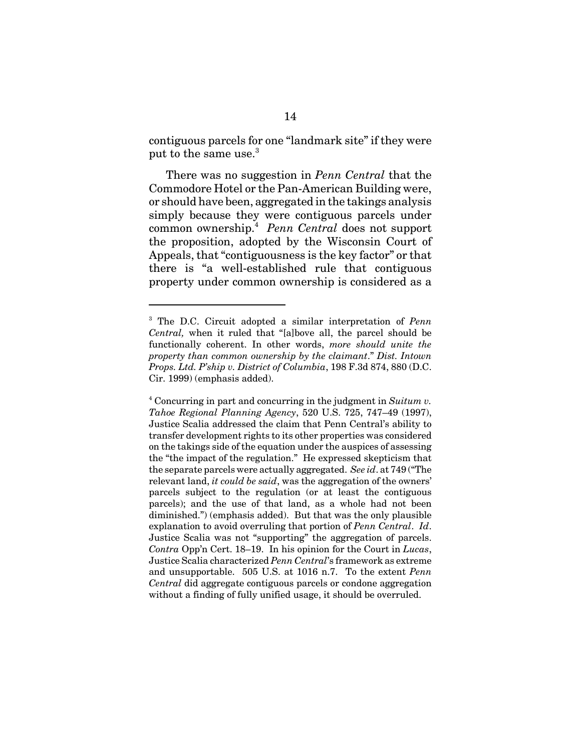contiguous parcels for one "landmark site" if they were put to the same use.<sup>3</sup>

There was no suggestion in *Penn Central* that the Commodore Hotel or the Pan-American Building were, or should have been, aggregated in the takings analysis simply because they were contiguous parcels under common ownership.<sup>4</sup> *Penn Central* does not support the proposition, adopted by the Wisconsin Court of Appeals, that "contiguousness is the key factor" or that there is "a well-established rule that contiguous property under common ownership is considered as a

<sup>3</sup> The D.C. Circuit adopted a similar interpretation of *Penn Central,* when it ruled that "[a]bove all, the parcel should be functionally coherent. In other words, *more should unite the property than common ownership by the claimant*." *Dist. Intown Props. Ltd. P'ship v. District of Columbia*, 198 F.3d 874, 880 (D.C. Cir. 1999) (emphasis added).

<sup>4</sup> Concurring in part and concurring in the judgment in *Suitum v. Tahoe Regional Planning Agency*, 520 U.S. 725, 747–49 (1997), Justice Scalia addressed the claim that Penn Central's ability to transfer development rights to its other properties was considered on the takings side of the equation under the auspices of assessing the "the impact of the regulation." He expressed skepticism that the separate parcels were actually aggregated. *See id*. at 749 ("The relevant land, *it could be said*, was the aggregation of the owners' parcels subject to the regulation (or at least the contiguous parcels); and the use of that land, as a whole had not been diminished.") (emphasis added). But that was the only plausible explanation to avoid overruling that portion of *Penn Central*. *Id*. Justice Scalia was not "supporting" the aggregation of parcels. *Contra* Opp'n Cert. 18–19. In his opinion for the Court in *Lucas*, Justice Scalia characterized *Penn Central*'s framework as extreme and unsupportable. 505 U.S. at 1016 n.7. To the extent *Penn Central* did aggregate contiguous parcels or condone aggregation without a finding of fully unified usage, it should be overruled.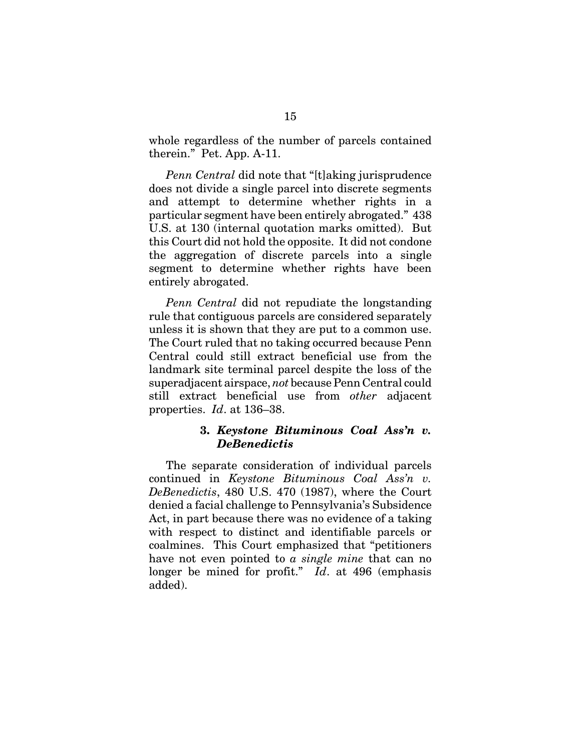whole regardless of the number of parcels contained therein." Pet. App. A-11.

*Penn Central* did note that "[t]aking jurisprudence does not divide a single parcel into discrete segments and attempt to determine whether rights in a particular segment have been entirely abrogated." 438 U.S. at 130 (internal quotation marks omitted). But this Court did not hold the opposite. It did not condone the aggregation of discrete parcels into a single segment to determine whether rights have been entirely abrogated.

*Penn Central* did not repudiate the longstanding rule that contiguous parcels are considered separately unless it is shown that they are put to a common use. The Court ruled that no taking occurred because Penn Central could still extract beneficial use from the landmark site terminal parcel despite the loss of the superadjacent airspace, *not* because Penn Central could still extract beneficial use from *other* adjacent properties. *Id*. at 136–38.

#### **3.** *Keystone Bituminous Coal Ass'n v. DeBenedictis*

The separate consideration of individual parcels continued in *Keystone Bituminous Coal Ass'n v. DeBenedictis*, 480 U.S. 470 (1987), where the Court denied a facial challenge to Pennsylvania's Subsidence Act, in part because there was no evidence of a taking with respect to distinct and identifiable parcels or coalmines. This Court emphasized that "petitioners have not even pointed to *a single mine* that can no longer be mined for profit." *Id*. at 496 (emphasis added).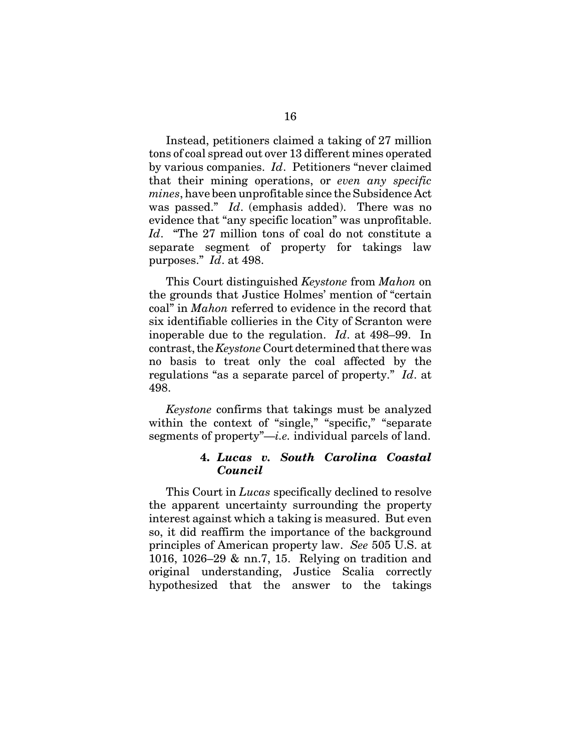Instead, petitioners claimed a taking of 27 million tons of coal spread out over 13 different mines operated by various companies. *Id*. Petitioners "never claimed that their mining operations, or *even any specific mines*, have been unprofitable since the Subsidence Act was passed." *Id*. (emphasis added). There was no evidence that "any specific location" was unprofitable. *Id*. "The 27 million tons of coal do not constitute a separate segment of property for takings law purposes." *Id*. at 498.

This Court distinguished *Keystone* from *Mahon* on the grounds that Justice Holmes' mention of "certain coal" in *Mahon* referred to evidence in the record that six identifiable collieries in the City of Scranton were inoperable due to the regulation. *Id*. at 498–99. In contrast, the *Keystone* Court determined that there was no basis to treat only the coal affected by the regulations "as a separate parcel of property." *Id*. at 498.

*Keystone* confirms that takings must be analyzed within the context of "single," "specific," "separate segments of property"—*i.e.* individual parcels of land.

### **4.** *Lucas v. South Carolina Coastal Council*

This Court in *Lucas* specifically declined to resolve the apparent uncertainty surrounding the property interest against which a taking is measured. But even so, it did reaffirm the importance of the background principles of American property law. *See* 505 U.S. at 1016, 1026–29 & nn.7, 15. Relying on tradition and original understanding, Justice Scalia correctly hypothesized that the answer to the takings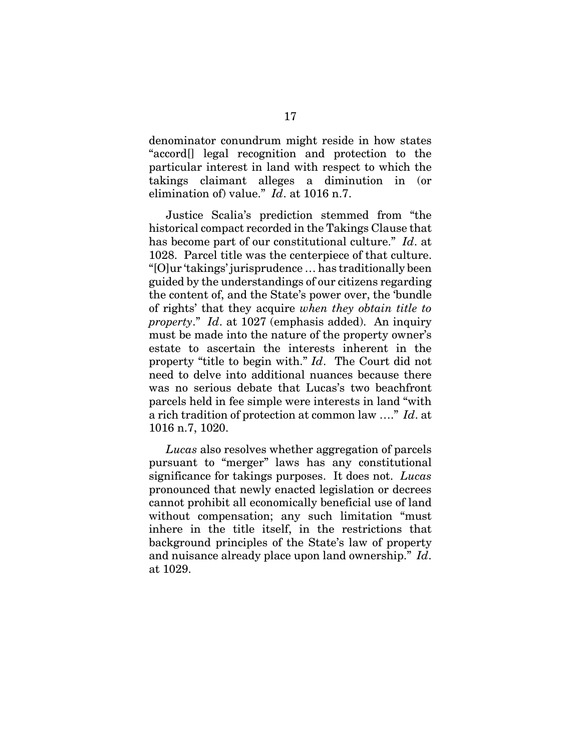denominator conundrum might reside in how states "accord[] legal recognition and protection to the particular interest in land with respect to which the takings claimant alleges a diminution in (or elimination of) value." *Id*. at 1016 n.7.

Justice Scalia's prediction stemmed from "the historical compact recorded in the Takings Clause that has become part of our constitutional culture." *Id*. at 1028. Parcel title was the centerpiece of that culture. "[O]ur 'takings' jurisprudence … has traditionally been guided by the understandings of our citizens regarding the content of, and the State's power over, the 'bundle of rights' that they acquire *when they obtain title to property*." *Id*. at 1027 (emphasis added). An inquiry must be made into the nature of the property owner's estate to ascertain the interests inherent in the property "title to begin with." *Id*. The Court did not need to delve into additional nuances because there was no serious debate that Lucas's two beachfront parcels held in fee simple were interests in land "with a rich tradition of protection at common law …." *Id*. at 1016 n.7, 1020.

*Lucas* also resolves whether aggregation of parcels pursuant to "merger" laws has any constitutional significance for takings purposes. It does not. *Lucas* pronounced that newly enacted legislation or decrees cannot prohibit all economically beneficial use of land without compensation; any such limitation "must inhere in the title itself, in the restrictions that background principles of the State's law of property and nuisance already place upon land ownership." *Id*. at 1029.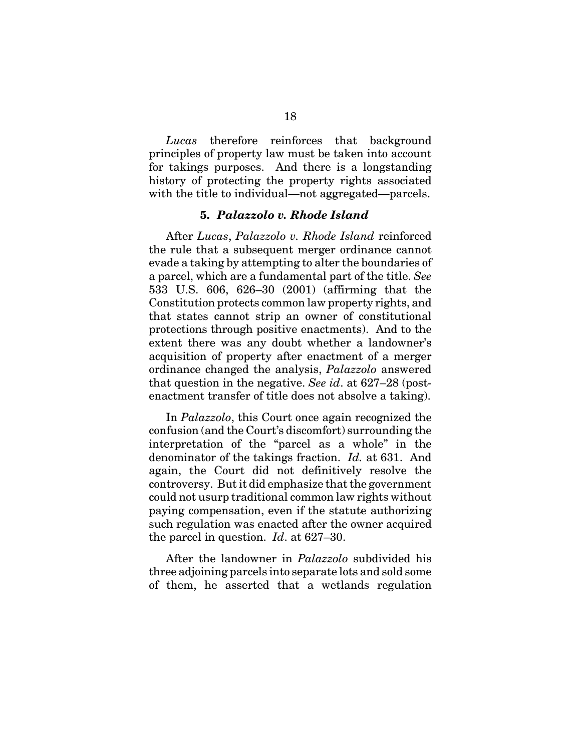*Lucas* therefore reinforces that background principles of property law must be taken into account for takings purposes. And there is a longstanding history of protecting the property rights associated with the title to individual—not aggregated—parcels.

#### **5.** *Palazzolo v. Rhode Island*

After *Lucas*, *Palazzolo v. Rhode Island* reinforced the rule that a subsequent merger ordinance cannot evade a taking by attempting to alter the boundaries of a parcel, which are a fundamental part of the title. *See* 533 U.S. 606, 626–30 (2001) (affirming that the Constitution protects common law property rights, and that states cannot strip an owner of constitutional protections through positive enactments). And to the extent there was any doubt whether a landowner's acquisition of property after enactment of a merger ordinance changed the analysis, *Palazzolo* answered that question in the negative. *See id*. at 627–28 (postenactment transfer of title does not absolve a taking).

In *Palazzolo*, this Court once again recognized the confusion (and the Court's discomfort) surrounding the interpretation of the "parcel as a whole" in the denominator of the takings fraction. *Id.* at 631. And again, the Court did not definitively resolve the controversy. But it did emphasize that the government could not usurp traditional common law rights without paying compensation, even if the statute authorizing such regulation was enacted after the owner acquired the parcel in question. *Id*. at 627–30.

After the landowner in *Palazzolo* subdivided his three adjoining parcels into separate lots and sold some of them, he asserted that a wetlands regulation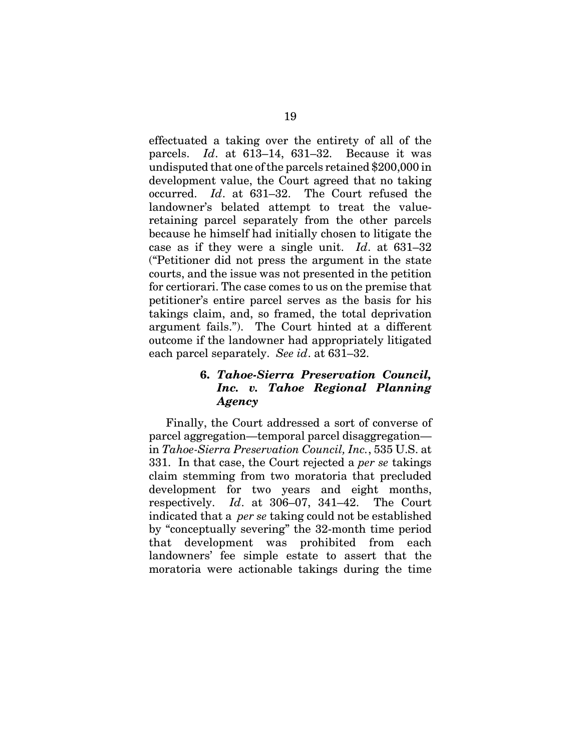effectuated a taking over the entirety of all of the parcels. *Id*. at 613–14, 631–32. Because it was undisputed that one of the parcels retained \$200,000 in development value, the Court agreed that no taking occurred. *Id*. at 631–32. The Court refused the landowner's belated attempt to treat the valueretaining parcel separately from the other parcels because he himself had initially chosen to litigate the case as if they were a single unit. *Id*. at 631–32 ("Petitioner did not press the argument in the state courts, and the issue was not presented in the petition for certiorari. The case comes to us on the premise that petitioner's entire parcel serves as the basis for his takings claim, and, so framed, the total deprivation argument fails."). The Court hinted at a different outcome if the landowner had appropriately litigated each parcel separately. *See id*. at 631–32.

## **6.** *Tahoe-Sierra Preservation Council, Inc. v. Tahoe Regional Planning Agency*

Finally, the Court addressed a sort of converse of parcel aggregation—temporal parcel disaggregation in *Tahoe-Sierra Preservation Council, Inc.*, 535 U.S. at 331. In that case, the Court rejected a *per se* takings claim stemming from two moratoria that precluded development for two years and eight months, respectively. *Id*. at 306–07, 341–42. The Court indicated that a *per se* taking could not be established by "conceptually severing" the 32-month time period that development was prohibited from each landowners' fee simple estate to assert that the moratoria were actionable takings during the time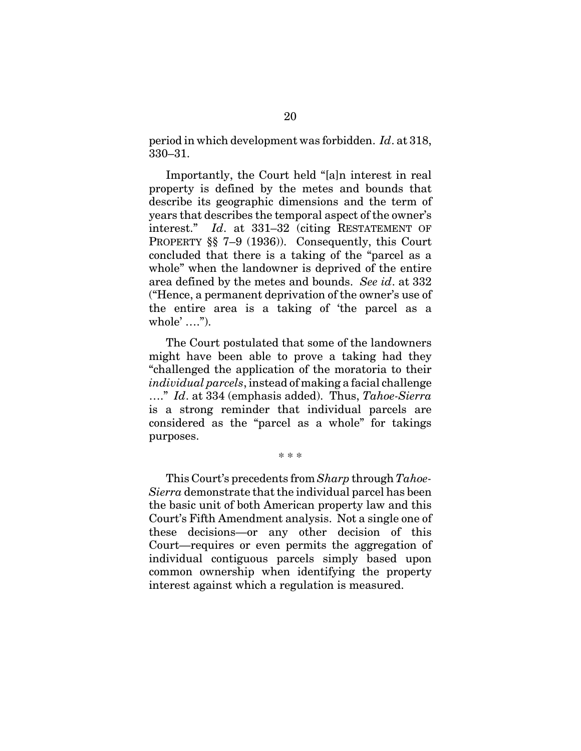period in which development was forbidden. *Id*. at 318, 330–31.

Importantly, the Court held "[a]n interest in real property is defined by the metes and bounds that describe its geographic dimensions and the term of years that describes the temporal aspect of the owner's interest." *Id*. at 331–32 (citing RESTATEMENT OF PROPERTY §§ 7–9 (1936)). Consequently, this Court concluded that there is a taking of the "parcel as a whole" when the landowner is deprived of the entire area defined by the metes and bounds. *See id*. at 332 ("Hence, a permanent deprivation of the owner's use of the entire area is a taking of 'the parcel as a whole' ….").

The Court postulated that some of the landowners might have been able to prove a taking had they "challenged the application of the moratoria to their *individual parcels*, instead of making a facial challenge …." *Id*. at 334 (emphasis added). Thus, *Tahoe-Sierra* is a strong reminder that individual parcels are considered as the "parcel as a whole" for takings purposes.

\* \* \*

This Court's precedents from *Sharp* through *Tahoe-Sierra* demonstrate that the individual parcel has been the basic unit of both American property law and this Court's Fifth Amendment analysis. Not a single one of these decisions—or any other decision of this Court—requires or even permits the aggregation of individual contiguous parcels simply based upon common ownership when identifying the property interest against which a regulation is measured.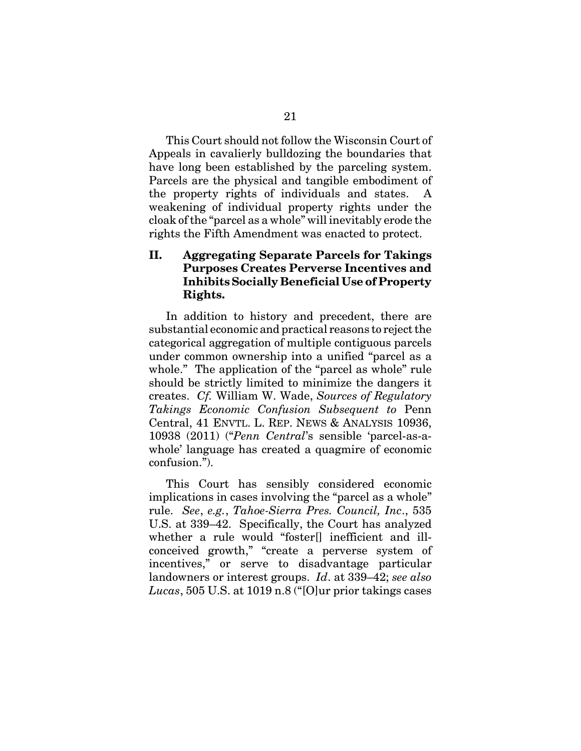This Court should not follow the Wisconsin Court of Appeals in cavalierly bulldozing the boundaries that have long been established by the parceling system. Parcels are the physical and tangible embodiment of the property rights of individuals and states. A weakening of individual property rights under the cloak of the "parcel as a whole" will inevitably erode the rights the Fifth Amendment was enacted to protect.

## **II. Aggregating Separate Parcels for Takings Purposes Creates Perverse Incentives and Inhibits Socially Beneficial Use of Property Rights.**

In addition to history and precedent, there are substantial economic and practical reasons to reject the categorical aggregation of multiple contiguous parcels under common ownership into a unified "parcel as a whole." The application of the "parcel as whole" rule should be strictly limited to minimize the dangers it creates. *Cf.* William W. Wade, *Sources of Regulatory Takings Economic Confusion Subsequent to* Penn Central, 41 ENVTL. L. REP. NEWS & ANALYSIS 10936, 10938 (2011) ("*Penn Central*'s sensible 'parcel-as-awhole' language has created a quagmire of economic confusion.").

This Court has sensibly considered economic implications in cases involving the "parcel as a whole" rule. *See*, *e.g.*, *Tahoe-Sierra Pres. Council, Inc*., 535 U.S. at 339–42. Specifically, the Court has analyzed whether a rule would "foster[] inefficient and illconceived growth," "create a perverse system of incentives," or serve to disadvantage particular landowners or interest groups. *Id*. at 339–42; *see also Lucas*, 505 U.S. at 1019 n.8 ("[O]ur prior takings cases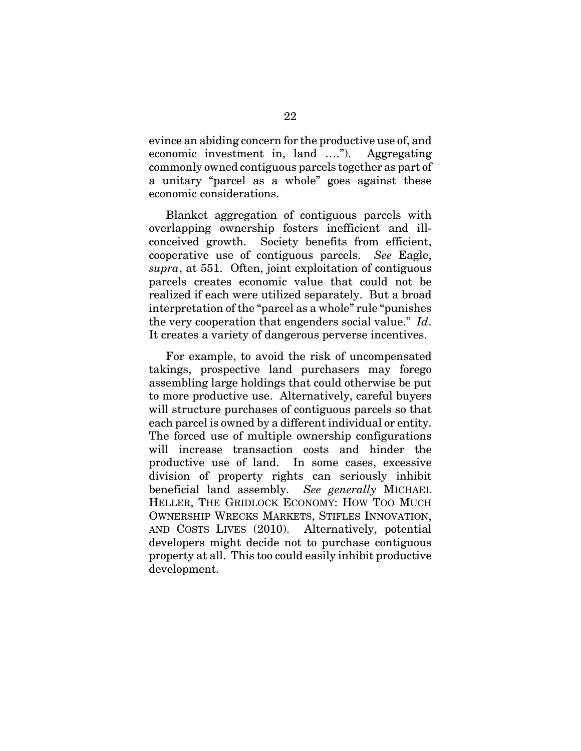evince an abiding concern for the productive use of, and economic investment in, land …."). Aggregating commonly owned contiguous parcels together as part of a unitary "parcel as a whole" goes against these economic considerations.

Blanket aggregation of contiguous parcels with overlapping ownership fosters inefficient and illconceived growth. Society benefits from efficient, cooperative use of contiguous parcels. *See* Eagle, *supra*, at 551. Often, joint exploitation of contiguous parcels creates economic value that could not be realized if each were utilized separately. But a broad interpretation of the "parcel as a whole" rule "punishes the very cooperation that engenders social value." *Id*. It creates a variety of dangerous perverse incentives.

For example, to avoid the risk of uncompensated takings, prospective land purchasers may forego assembling large holdings that could otherwise be put to more productive use. Alternatively, careful buyers will structure purchases of contiguous parcels so that each parcel is owned by a different individual or entity. The forced use of multiple ownership configurations will increase transaction costs and hinder the productive use of land. In some cases, excessive division of property rights can seriously inhibit beneficial land assembly. *See generally* MICHAEL HELLER, THE GRIDLOCK ECONOMY: HOW TOO MUCH OWNERSHIP WRECKS MARKETS, STIFLES INNOVATION, AND COSTS LIVES (2010). Alternatively, potential developers might decide not to purchase contiguous property at all. This too could easily inhibit productive development.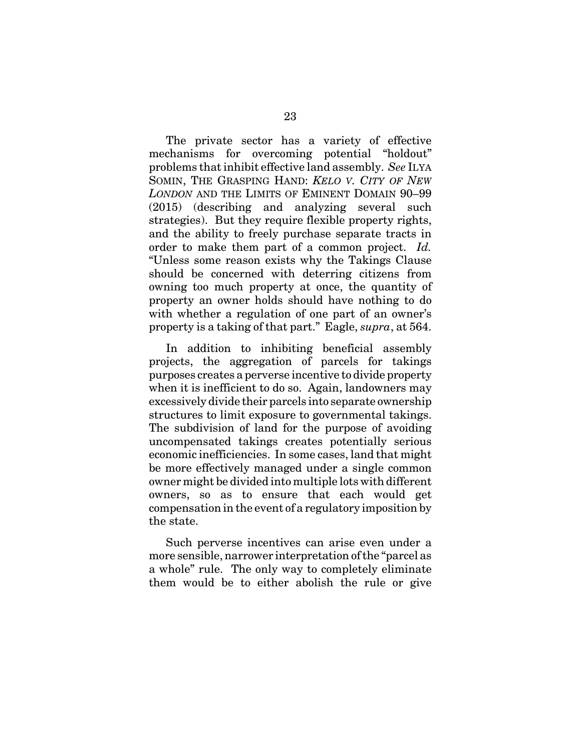The private sector has a variety of effective mechanisms for overcoming potential "holdout" problems that inhibit effective land assembly. *See* ILYA SOMIN, THE GRASPING HAND: *KELO V. CITY OF NEW LONDON* AND THE LIMITS OF EMINENT DOMAIN 90–99 (2015) (describing and analyzing several such strategies). But they require flexible property rights, and the ability to freely purchase separate tracts in order to make them part of a common project. *Id.* "Unless some reason exists why the Takings Clause should be concerned with deterring citizens from owning too much property at once, the quantity of property an owner holds should have nothing to do with whether a regulation of one part of an owner's property is a taking of that part." Eagle, *supra*, at 564.

In addition to inhibiting beneficial assembly projects, the aggregation of parcels for takings purposes creates a perverse incentive to divide property when it is inefficient to do so. Again, landowners may excessively divide their parcels into separate ownership structures to limit exposure to governmental takings. The subdivision of land for the purpose of avoiding uncompensated takings creates potentially serious economic inefficiencies. In some cases, land that might be more effectively managed under a single common owner might be divided into multiple lots with different owners, so as to ensure that each would get compensation in the event of a regulatory imposition by the state.

Such perverse incentives can arise even under a more sensible, narrower interpretation of the "parcel as a whole" rule. The only way to completely eliminate them would be to either abolish the rule or give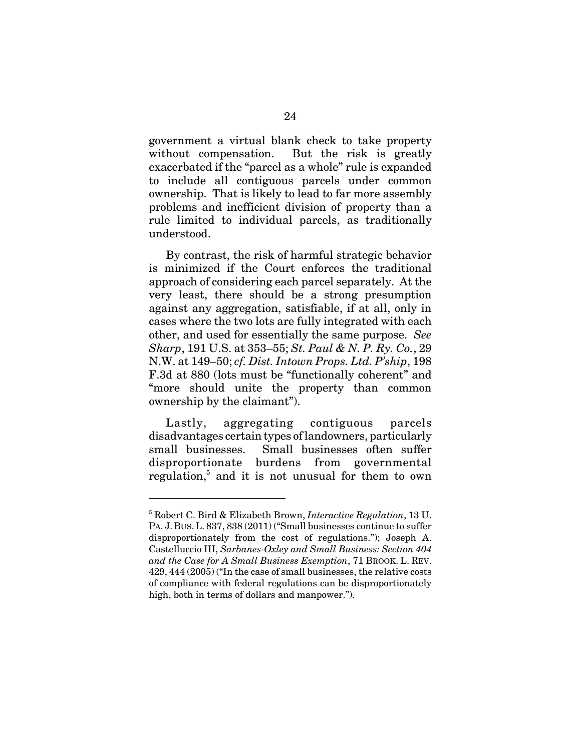government a virtual blank check to take property without compensation. But the risk is greatly exacerbated if the "parcel as a whole" rule is expanded to include all contiguous parcels under common ownership. That is likely to lead to far more assembly problems and inefficient division of property than a rule limited to individual parcels, as traditionally understood.

By contrast, the risk of harmful strategic behavior is minimized if the Court enforces the traditional approach of considering each parcel separately. At the very least, there should be a strong presumption against any aggregation, satisfiable, if at all, only in cases where the two lots are fully integrated with each other, and used for essentially the same purpose. *See Sharp*, 191 U.S. at 353–55; *St. Paul & N. P. Ry. Co.*, 29 N.W. at 149–50; *cf. Dist. Intown Props. Ltd. P'ship*, 198 F.3d at 880 (lots must be "functionally coherent" and "more should unite the property than common ownership by the claimant").

Lastly, aggregating contiguous parcels disadvantages certain types of landowners, particularly small businesses. Small businesses often suffer disproportionate burdens from governmental regulation,<sup>5</sup> and it is not unusual for them to own

<sup>5</sup> Robert C. Bird & Elizabeth Brown, *Interactive Regulation*, 13 U. PA. J. BUS.L. 837, 838 (2011) ("Small businesses continue to suffer disproportionately from the cost of regulations."); Joseph A. Castelluccio III, *Sarbanes-Oxley and Small Business: Section 404 and the Case for A Small Business Exemption*, 71 BROOK. L. REV. 429, 444 (2005) ("In the case of small businesses, the relative costs of compliance with federal regulations can be disproportionately high, both in terms of dollars and manpower.").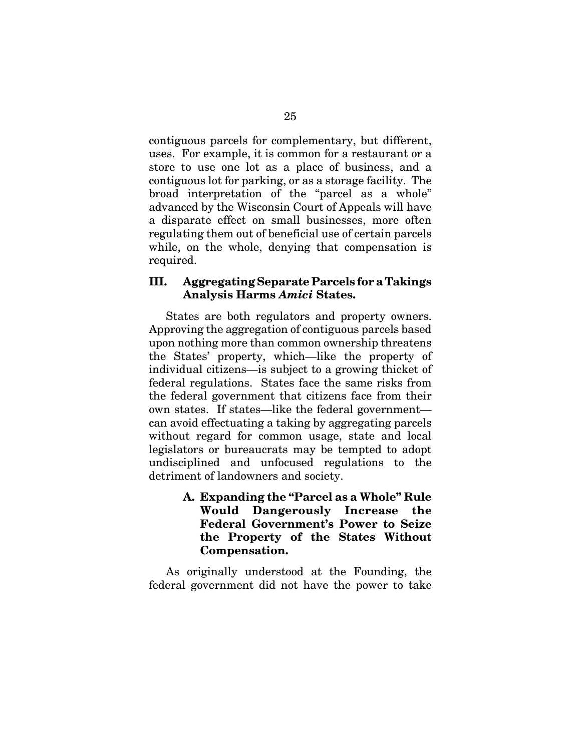contiguous parcels for complementary, but different, uses. For example, it is common for a restaurant or a store to use one lot as a place of business, and a contiguous lot for parking, or as a storage facility. The broad interpretation of the "parcel as a whole" advanced by the Wisconsin Court of Appeals will have a disparate effect on small businesses, more often regulating them out of beneficial use of certain parcels while, on the whole, denying that compensation is required.

## **III. Aggregating Separate Parcels for a Takings Analysis Harms** *Amici* **States.**

States are both regulators and property owners. Approving the aggregation of contiguous parcels based upon nothing more than common ownership threatens the States' property, which—like the property of individual citizens—is subject to a growing thicket of federal regulations. States face the same risks from the federal government that citizens face from their own states. If states—like the federal government can avoid effectuating a taking by aggregating parcels without regard for common usage, state and local legislators or bureaucrats may be tempted to adopt undisciplined and unfocused regulations to the detriment of landowners and society.

> **A. Expanding the "Parcel as a Whole" Rule Would Dangerously Increase the Federal Government's Power to Seize the Property of the States Without Compensation.**

As originally understood at the Founding, the federal government did not have the power to take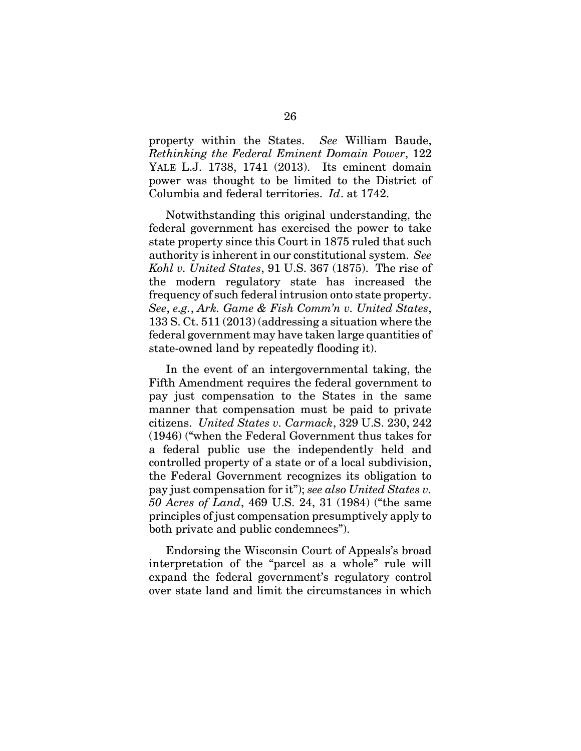property within the States. *See* William Baude, *Rethinking the Federal Eminent Domain Power*, 122 YALE L.J. 1738, 1741 (2013). Its eminent domain power was thought to be limited to the District of Columbia and federal territories. *Id*. at 1742.

Notwithstanding this original understanding, the federal government has exercised the power to take state property since this Court in 1875 ruled that such authority is inherent in our constitutional system. *See Kohl v. United States*, 91 U.S. 367 (1875). The rise of the modern regulatory state has increased the frequency of such federal intrusion onto state property. *See*, *e.g.*, *Ark. Game & Fish Comm'n v. United States*, 133 S. Ct. 511 (2013) (addressing a situation where the federal government may have taken large quantities of state-owned land by repeatedly flooding it).

In the event of an intergovernmental taking, the Fifth Amendment requires the federal government to pay just compensation to the States in the same manner that compensation must be paid to private citizens. *United States v. Carmack*, 329 U.S. 230, 242 (1946) ("when the Federal Government thus takes for a federal public use the independently held and controlled property of a state or of a local subdivision, the Federal Government recognizes its obligation to pay just compensation for it"); *see also United States v. 50 Acres of Land*, 469 U.S. 24, 31 (1984) ("the same principles of just compensation presumptively apply to both private and public condemnees").

Endorsing the Wisconsin Court of Appeals's broad interpretation of the "parcel as a whole" rule will expand the federal government's regulatory control over state land and limit the circumstances in which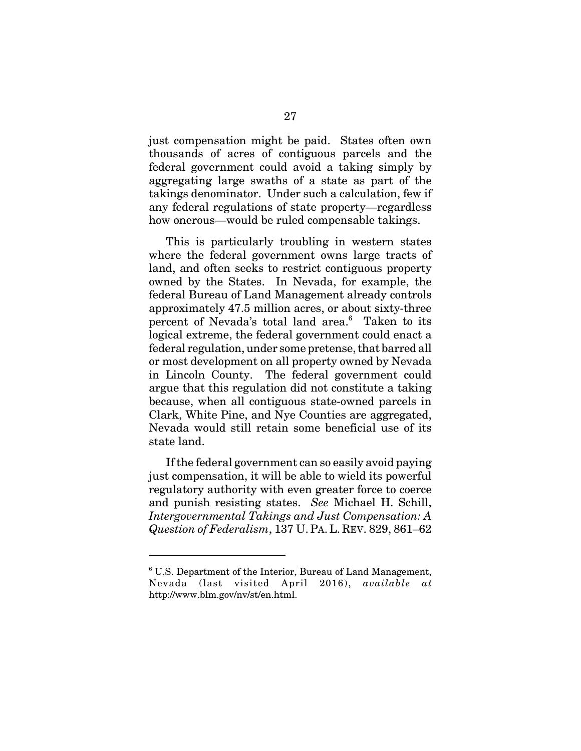just compensation might be paid. States often own thousands of acres of contiguous parcels and the federal government could avoid a taking simply by aggregating large swaths of a state as part of the takings denominator. Under such a calculation, few if any federal regulations of state property—regardless how onerous—would be ruled compensable takings.

This is particularly troubling in western states where the federal government owns large tracts of land, and often seeks to restrict contiguous property owned by the States. In Nevada, for example, the federal Bureau of Land Management already controls approximately 47.5 million acres, or about sixty-three percent of Nevada's total land area.<sup>6</sup> Taken to its logical extreme, the federal government could enact a federal regulation, under some pretense, that barred all or most development on all property owned by Nevada in Lincoln County. The federal government could argue that this regulation did not constitute a taking because, when all contiguous state-owned parcels in Clark, White Pine, and Nye Counties are aggregated, Nevada would still retain some beneficial use of its state land.

If the federal government can so easily avoid paying just compensation, it will be able to wield its powerful regulatory authority with even greater force to coerce and punish resisting states. *See* Michael H. Schill, *Intergovernmental Takings and Just Compensation: A Question of Federalism*, 137 U.PA.L. REV. 829, 861–62

<sup>&</sup>lt;sup>6</sup> U.S. Department of the Interior, Bureau of Land Management, Nevada (last visited April 2016), *available at* http://www.blm.gov/nv/st/en.html.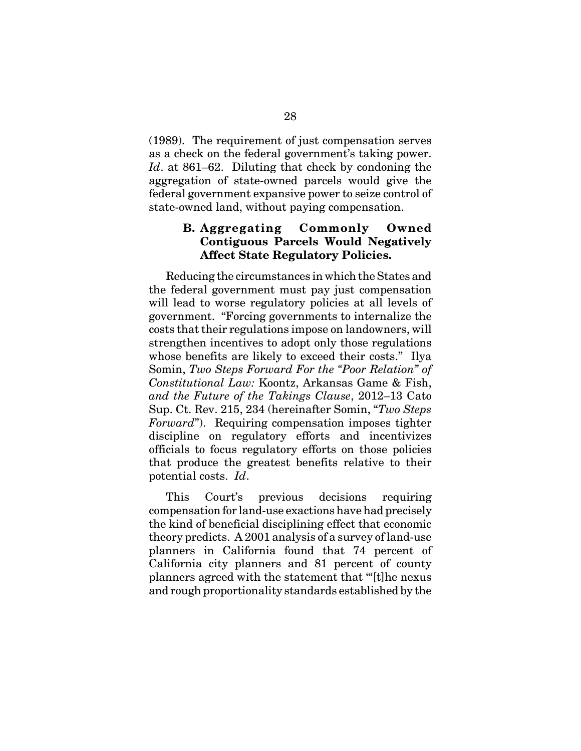(1989). The requirement of just compensation serves as a check on the federal government's taking power. *Id*. at 861–62. Diluting that check by condoning the aggregation of state-owned parcels would give the federal government expansive power to seize control of state-owned land, without paying compensation.

### **B. Aggregating Commonly Owned Contiguous Parcels Would Negatively Affect State Regulatory Policies.**

Reducing the circumstances in which the States and the federal government must pay just compensation will lead to worse regulatory policies at all levels of government. "Forcing governments to internalize the costs that their regulations impose on landowners, will strengthen incentives to adopt only those regulations whose benefits are likely to exceed their costs." Ilya Somin, *Two Steps Forward For the "Poor Relation" of Constitutional Law:* Koontz, Arkansas Game & Fish, *and the Future of the Takings Clause*, 2012–13 Cato Sup. Ct. Rev. 215, 234 (hereinafter Somin, "*Two Steps Forward*"). Requiring compensation imposes tighter discipline on regulatory efforts and incentivizes officials to focus regulatory efforts on those policies that produce the greatest benefits relative to their potential costs. *Id*.

This Court's previous decisions requiring compensation for land-use exactions have had precisely the kind of beneficial disciplining effect that economic theory predicts. A 2001 analysis of a survey of land-use planners in California found that 74 percent of California city planners and 81 percent of county planners agreed with the statement that '"[t]he nexus and rough proportionality standards established by the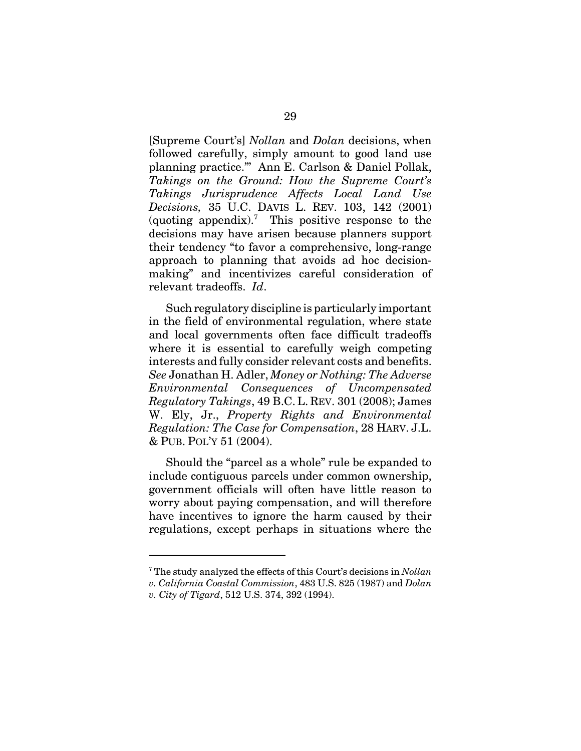[Supreme Court's] *Nollan* and *Dolan* decisions, when followed carefully, simply amount to good land use planning practice."' Ann E. Carlson & Daniel Pollak, *Takings on the Ground: How the Supreme Court's Takings Jurisprudence Affects Local Land Use Decisions,* 35 U.C. DAVIS L. REV. 103, 142 (2001) (quoting appendix).<sup>7</sup> This positive response to the decisions may have arisen because planners support their tendency "to favor a comprehensive, long-range approach to planning that avoids ad hoc decisionmaking" and incentivizes careful consideration of relevant tradeoffs. *Id*.

Such regulatory discipline is particularly important in the field of environmental regulation, where state and local governments often face difficult tradeoffs where it is essential to carefully weigh competing interests and fully consider relevant costs and benefits. *See* Jonathan H. Adler, *Money or Nothing: The Adverse Environmental Consequences of Uncompensated Regulatory Takings*, 49 B.C. L. REV. 301 (2008); James W. Ely, Jr., *Property Rights and Environmental Regulation: The Case for Compensation*, 28 HARV. J.L. & PUB. POL'Y 51 (2004).

Should the "parcel as a whole" rule be expanded to include contiguous parcels under common ownership, government officials will often have little reason to worry about paying compensation, and will therefore have incentives to ignore the harm caused by their regulations, except perhaps in situations where the

7 The study analyzed the effects of this Court's decisions in *Nollan v. California Coastal Commission*, 483 U.S. 825 (1987) and *Dolan v. City of Tigard*, 512 U.S. 374, 392 (1994).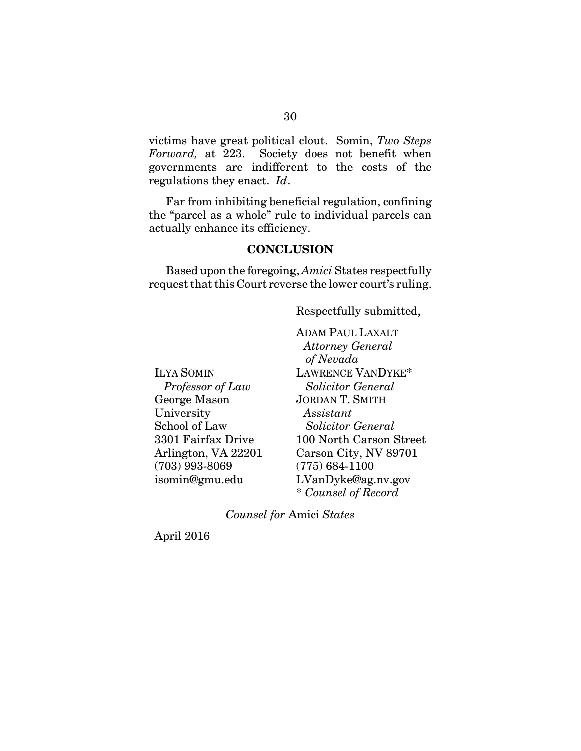victims have great political clout. Somin, *Two Steps Forward,* at 223. Society does not benefit when governments are indifferent to the costs of the regulations they enact. *Id*.

Far from inhibiting beneficial regulation, confining the "parcel as a whole" rule to individual parcels can actually enhance its efficiency.

#### **CONCLUSION**

Based upon the foregoing, *Amici* States respectfully request that this Court reverse the lower court's ruling.

Respectfully submitted,

ILYA SOMIN  *Professor of Law* George Mason University School of Law 3301 Fairfax Drive Arlington, VA 22201 (703) 993-8069 isomin@gmu.edu

ADAM PAUL LAXALT  *Attorney General of Nevada* LAWRENCE VANDYKE\*  *Solicitor General* JORDAN T. SMITH  *Assistant Solicitor General* 100 North Carson Street Carson City, NV 89701 (775) 684-1100 LVanDyke@ag.nv.gov \* *Counsel of Record*

*Counsel for* Amici *States*

April 2016